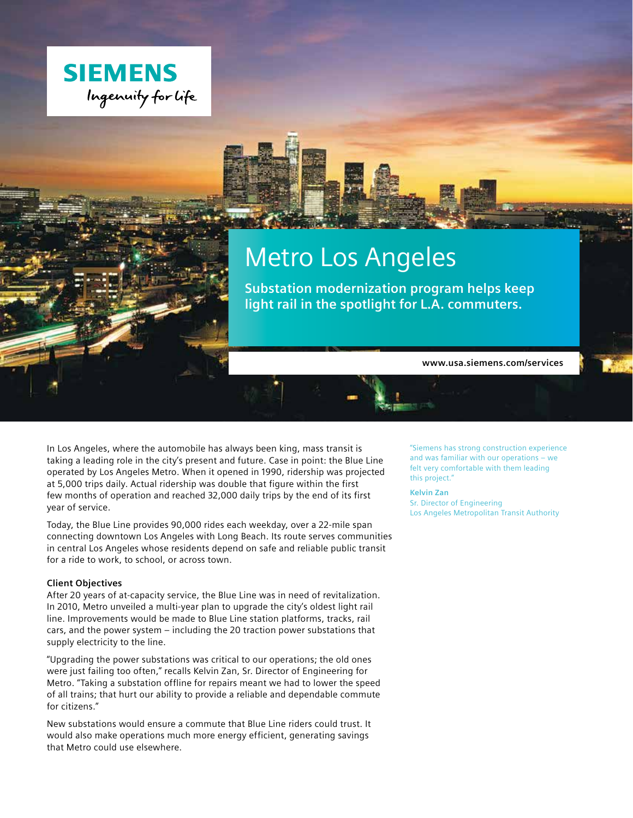

# Metro Los Angeles

**Substation modernization program helps keep light rail in the spotlight for L.A. commuters.**

**www.usa.siemens.com/services**

In Los Angeles, where the automobile has always been king, mass transit is taking a leading role in the city's present and future. Case in point: the Blue Line operated by Los Angeles Metro. When it opened in 1990, ridership was projected at 5,000 trips daily. Actual ridership was double that figure within the first few months of operation and reached 32,000 daily trips by the end of its first year of service.

Today, the Blue Line provides 90,000 rides each weekday, over a 22-mile span connecting downtown Los Angeles with Long Beach. Its route serves communities in central Los Angeles whose residents depend on safe and reliable public transit for a ride to work, to school, or across town.

#### **Client Objectives**

After 20 years of at-capacity service, the Blue Line was in need of revitalization. In 2010, Metro unveiled a multi-year plan to upgrade the city's oldest light rail line. Improvements would be made to Blue Line station platforms, tracks, rail cars, and the power system – including the 20 traction power substations that supply electricity to the line.

"Upgrading the power substations was critical to our operations; the old ones were just failing too often," recalls Kelvin Zan, Sr. Director of Engineering for Metro. "Taking a substation offline for repairs meant we had to lower the speed of all trains; that hurt our ability to provide a reliable and dependable commute for citizens."

New substations would ensure a commute that Blue Line riders could trust. It would also make operations much more energy efficient, generating savings that Metro could use elsewhere.

"Siemens has strong construction experience and was familiar with our operations – we felt very comfortable with them leading this project."

**Kelvin Zan** Sr. Director of Engineering Los Angeles Metropolitan Transit Authority